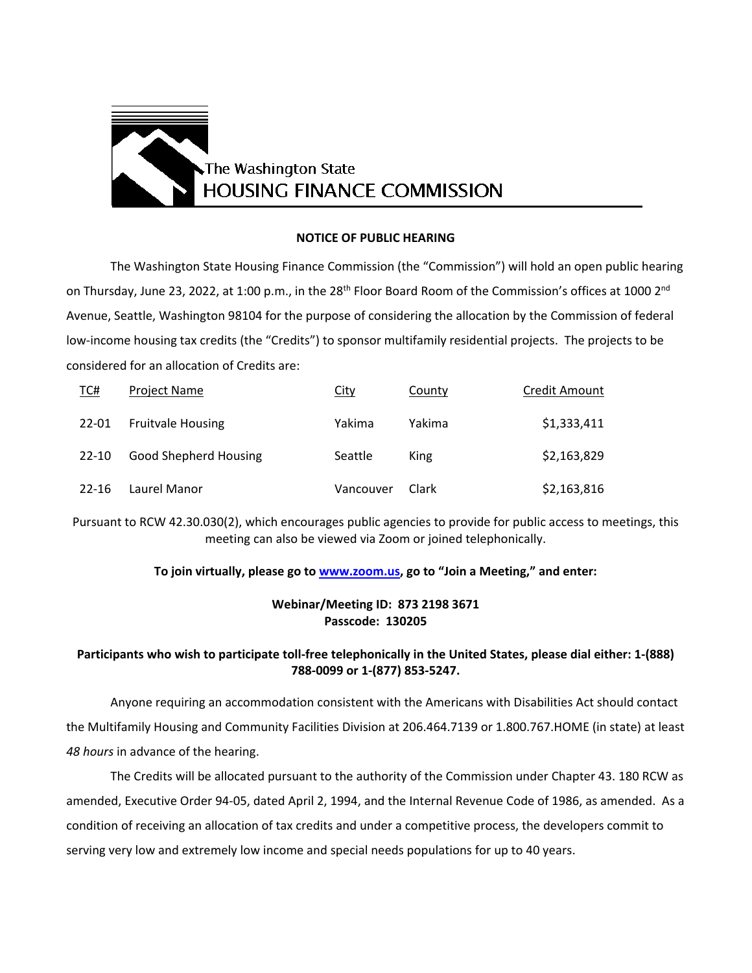

## **NOTICE OF PUBLIC HEARING**

The Washington State Housing Finance Commission (the "Commission") will hold an open public hearing on Thursday, June 23, 2022, at 1:00 p.m., in the 28<sup>th</sup> Floor Board Room of the Commission's offices at 1000 2<sup>nd</sup> Avenue, Seattle, Washington 98104 for the purpose of considering the allocation by the Commission of federal low-income housing tax credits (the "Credits") to sponsor multifamily residential projects. The projects to be considered for an allocation of Credits are:

| TC#   | <b>Project Name</b>          | City      | County | Credit Amount |
|-------|------------------------------|-----------|--------|---------------|
| 22-01 | <b>Fruitvale Housing</b>     | Yakima    | Yakima | \$1,333,411   |
| 22-10 | <b>Good Shepherd Housing</b> | Seattle   | King   | \$2,163,829   |
| 22-16 | Laurel Manor                 | Vancouver | Clark  | \$2,163,816   |

Pursuant to RCW 42.30.030(2), which encourages public agencies to provide for public access to meetings, this meeting can also be viewed via Zoom or joined telephonically.

## **To join virtually, please go to [www.zoom.us,](http://www.zoom.us/) go to "Join a Meeting," and enter:**

## **Webinar/Meeting ID: 873 2198 3671 Passcode: 130205**

## **Participants who wish to participate toll-free telephonically in the United States, please dial either: 1-(888) 788-0099 or 1-(877) 853-5247.**

Anyone requiring an accommodation consistent with the Americans with Disabilities Act should contact the Multifamily Housing and Community Facilities Division at 206.464.7139 or 1.800.767.HOME (in state) at least *48 hours* in advance of the hearing.

The Credits will be allocated pursuant to the authority of the Commission under Chapter 43. 180 RCW as amended, Executive Order 94-05, dated April 2, 1994, and the Internal Revenue Code of 1986, as amended. As a condition of receiving an allocation of tax credits and under a competitive process, the developers commit to serving very low and extremely low income and special needs populations for up to 40 years.